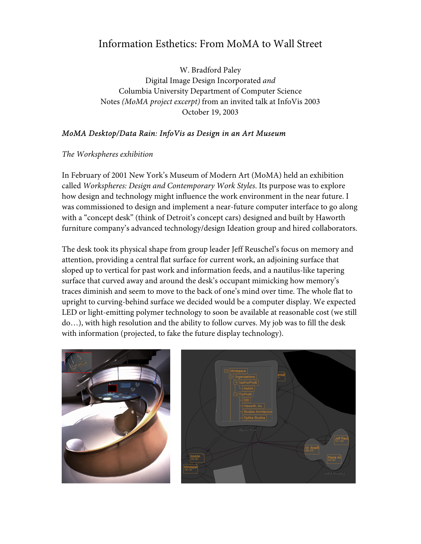## Information Esthetics: From MoMA to Wall Street

W. Bradford Paley Digital Image Design Incorporated *and* Columbia University Department of Computer Science Notes *(MoMA project excerpt)* from an invited talk at InfoVis 2003 October 19, 2003

## *MoMA Desktop/Data Rain: InfoVis as Design in an Art Museum*

*The Workspheres exhibition* 

In February of 2001 New York's Museum of Modern Art (MoMA) held an exhibition called *Workspheres: Design and Contemporary Work Styles*. Its purpose was to explore how design and technology might influence the work environment in the near future. I was commissioned to design and implement a near-future computer interface to go along with a "concept desk" (think of Detroit's concept cars) designed and built by Haworth furniture company's advanced technology/design Ideation group and hired collaborators.

The desk took its physical shape from group leader Jeff Reuschel's focus on memory and attention, providing a central flat surface for current work, an adjoining surface that sloped up to vertical for past work and information feeds, and a nautilus-like tapering surface that curved away and around the desk's occupant mimicking how memory's traces diminish and seem to move to the back of one's mind over time. The whole flat to upright to curving-behind surface we decided would be a computer display. We expected LED or light-emitting polymer technology to soon be available at reasonable cost (we still do…), with high resolution and the ability to follow curves. My job was to fill the desk with information (projected, to fake the future display technology).

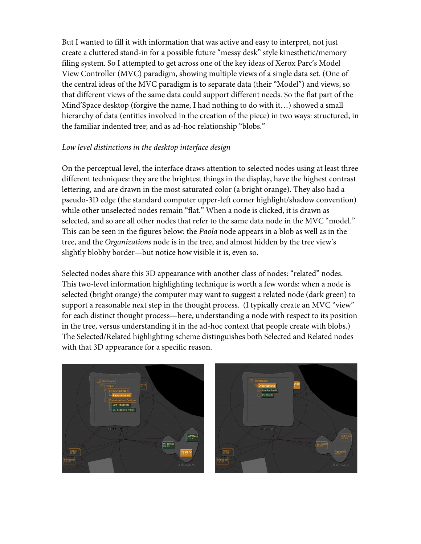But I wanted to fill it with information that was active and easy to interpret, not just create a cluttered stand-in for a possible future "messy desk" style kinesthetic/memory filing system. So I attempted to get across one of the key ideas of Xerox Parc's Model View Controller (MVC) paradigm, showing multiple views of a single data set. (One of the central ideas of the MVC paradigm is to separate data (their "Model") and views, so that different views of the same data could support different needs. So the flat part of the Mind'Space desktop (forgive the name, I had nothing to do with it…) showed a small hierarchy of data (entities involved in the creation of the piece) in two ways: structured, in the familiar indented tree; and as ad-hoc relationship "blobs."

## *Low level distinctions in the desktop interface design*

On the perceptual level, the interface draws attention to selected nodes using at least three different techniques: they are the brightest things in the display, have the highest contrast lettering, and are drawn in the most saturated color (a bright orange). They also had a pseudo-3D edge (the standard computer upper-left corner highlight/shadow convention) while other unselected nodes remain "flat." When a node is clicked, it is drawn as selected, and so are all other nodes that refer to the same data node in the MVC "model." This can be seen in the figures below: the *Paola* node appears in a blob as well as in the tree, and the *Organizations* node is in the tree, and almost hidden by the tree view's slightly blobby border—but notice how visible it is, even so.

Selected nodes share this 3D appearance with another class of nodes: "related" nodes. This two-level information highlighting technique is worth a few words: when a node is selected (bright orange) the computer may want to suggest a related node (dark green) to support a reasonable next step in the thought process. (I typically create an MVC "view" for each distinct thought process—here, understanding a node with respect to its position in the tree, versus understanding it in the ad-hoc context that people create with blobs.) The Selected/Related highlighting scheme distinguishes both Selected and Related nodes with that 3D appearance for a specific reason.



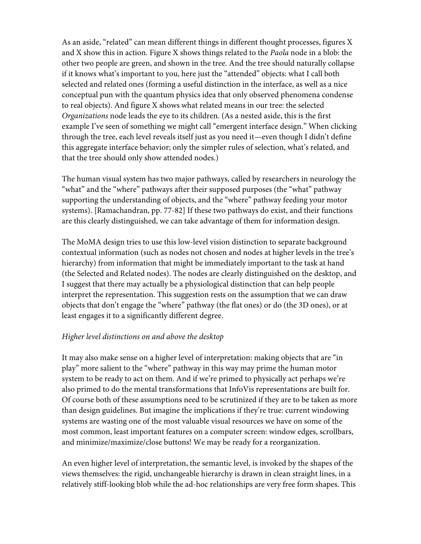As an aside, "related" can mean different things in different thought processes, figures X and X show this in action. Figure X shows things related to the *Paola* node in a blob: the other two people are green, and shown in the tree. And the tree should naturally collapse if it knows what's important to you, here just the "attended" objects: what I call both selected and related ones (forming a useful distinction in the interface, as well as a nice conceptual pun with the quantum physics idea that only observed phenomena condense to real objects). And figure X shows what related means in our tree: the selected *Organizations* node leads the eye to its children. (As a nested aside, this is the first example I've seen of something we might call "emergent interface design." When clicking through the tree, each level reveals itself just as you need it—even though I didn't define this aggregate interface behavior; only the simpler rules of selection, what's related, and that the tree should only show attended nodes.)

The human visual system has two major pathways, called by researchers in neurology the "what" and the "where" pathways after their supposed purposes (the "what" pathway supporting the understanding of objects, and the "where" pathway feeding your motor systems). [Ramachandran, pp. 77-82] If these two pathways do exist, and their functions are this clearly distinguished, we can take advantage of them for information design.

The MoMA design tries to use this low-level vision distinction to separate background contextual information (such as nodes not chosen and nodes at higher levels in the tree's hierarchy) from information that might be immediately important to the task at hand (the Selected and Related nodes). The nodes are clearly distinguished on the desktop, and I suggest that there may actually be a physiological distinction that can help people interpret the representation. This suggestion rests on the assumption that we can draw objects that don't engage the "where" pathway (the flat ones) or do (the 3D ones), or at least engages it to a significantly different degree.

## *Higher level distinctions on and above the desktop*

It may also make sense on a higher level of interpretation: making objects that are "in play" more salient to the "where" pathway in this way may prime the human motor system to be ready to act on them. And if we're primed to physically act perhaps we're also primed to do the mental transformations that InfoVis representations are built for. Of course both of these assumptions need to be scrutinized if they are to be taken as more than design guidelines. But imagine the implications if they're true: current windowing systems are wasting one of the most valuable visual resources we have on some of the most common, least important features on a computer screen: window edges, scrollbars, and minimize/maximize/close buttons! We may be ready for a reorganization.

An even higher level of interpretation, the semantic level, is invoked by the shapes of the views themselves: the rigid, unchangeable hierarchy is drawn in clean straight lines, in a relatively stiff-looking blob while the ad-hoc relationships are very free form shapes. This